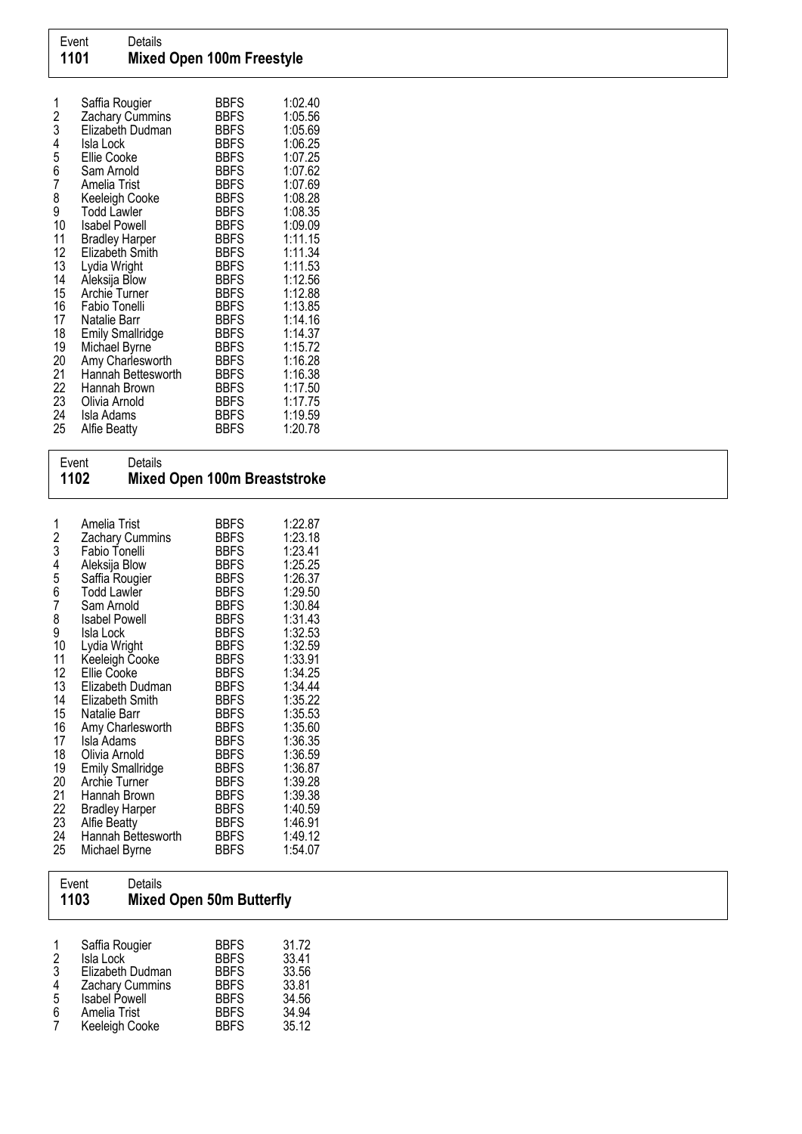| 1<br>2<br>3 | Saffia Rougier<br>Zachary Cummins<br>Elizabeth Dudman | BBFS<br><b>BBFS</b><br><b>BBFS</b> | 1:02.40<br>1:05.56<br>1:05.69 |
|-------------|-------------------------------------------------------|------------------------------------|-------------------------------|
| 4           | Isla Lock                                             | <b>BBFS</b>                        | 1:06.25                       |
| 5<br>6      | Ellie Cooke<br>Sam Arnold                             | <b>BBFS</b><br>BBFS                | 1:07.25<br>1:07.62            |
| 7           | Amelia Trist                                          | <b>BBFS</b>                        | 1:07.69                       |
| 8           | Keeleigh Cooke                                        | BBFS                               | 1:08.28                       |
| 9           | <b>Todd Lawler</b>                                    | <b>BBFS</b>                        | 1:08.35                       |
| 10          | <b>Isabel Powell</b>                                  | <b>BBFS</b>                        | 1:09.09                       |
| 11          | <b>Bradley Harper</b>                                 | <b>BBFS</b>                        | 1:11.15                       |
| 12          | Elizabeth Smith                                       | BBFS                               | 1:11.34                       |
| 13<br>14    | Lydia Wright<br>Aleksija Blow                         | <b>BBFS</b><br>BBFS                | 1:11.53<br>1:12.56            |
| 15          | Archie Turner                                         | BBFS                               | 1:12.88                       |
| 16          | Fabio Tonelli                                         | BBFS                               | 1:13.85                       |
| 17          | Natalie Barr                                          | BBFS                               | 1:14.16                       |
| 18          | <b>Emily Smallridge</b>                               | <b>BBFS</b>                        | 1:14.37                       |
| 19          | Michael Byrne                                         | <b>BBFS</b>                        | 1:15.72                       |
| 20          | Amy Charlesworth                                      | <b>BBFS</b>                        | 1:16.28                       |
| 21          | Hannah Bettesworth                                    | <b>BBFS</b>                        | 1:16.38                       |
| 22<br>23    | Hannah Brown<br>Olivia Arnold                         | <b>BBFS</b><br><b>BBFS</b>         | 1:17.50<br>1:17.75            |
| 24          | Isla Adams                                            | <b>BBFS</b>                        | 1:19.59                       |
| 25          | Alfie Beatty                                          | BBFS                               | 1:20.78                       |

| Event<br>1102                                                                                                                             | Details                                                                                                                                                                                                                                                                                                                                                                                                                                                                           | Mixed Open 100m Breaststroke                                                                                                                                                                                                                                                                                                                                                        |                                                                                                                                                                                                                                                                                 |  |  |
|-------------------------------------------------------------------------------------------------------------------------------------------|-----------------------------------------------------------------------------------------------------------------------------------------------------------------------------------------------------------------------------------------------------------------------------------------------------------------------------------------------------------------------------------------------------------------------------------------------------------------------------------|-------------------------------------------------------------------------------------------------------------------------------------------------------------------------------------------------------------------------------------------------------------------------------------------------------------------------------------------------------------------------------------|---------------------------------------------------------------------------------------------------------------------------------------------------------------------------------------------------------------------------------------------------------------------------------|--|--|
| 1<br>2<br>3<br>4<br>5<br>6<br>7<br>8<br>9<br>10<br>11<br>12<br>13<br>14<br>15<br>16<br>17<br>18<br>19<br>20<br>21<br>22<br>23<br>24<br>25 | Amelia Trist<br>Zachary Cummins<br>Fabio Tonelli<br>Aleksija Blow<br>Saffia Rougier<br><b>Todd Lawler</b><br>Sam Arnold<br><b>Isabel Powell</b><br>Isla Lock<br>Lydia Wright<br>Keeleigh Cooke<br><b>Ellie Cooke</b><br>Elizabeth Dudman<br>Elizabeth Smith<br>Natalie Barr<br>Amy Charlesworth<br>Isla Adams<br>Olivia Arnold<br><b>Emily Smallridge</b><br>Archie Turner<br>Hannah Brown<br><b>Bradley Harper</b><br><b>Alfie Beatty</b><br>Hannah Bettesworth<br>Michael Byrne | <b>BBFS</b><br><b>BBFS</b><br><b>BBFS</b><br><b>BBFS</b><br><b>BBFS</b><br><b>BBFS</b><br><b>BBFS</b><br><b>BBFS</b><br><b>BBFS</b><br><b>BBFS</b><br><b>BBFS</b><br><b>BBFS</b><br><b>BBFS</b><br><b>BBFS</b><br><b>BBFS</b><br><b>BBFS</b><br><b>BBFS</b><br><b>BBFS</b><br><b>BBFS</b><br><b>BBFS</b><br><b>BBFS</b><br><b>BBFS</b><br><b>BBFS</b><br><b>BBFS</b><br><b>BBFS</b> | 1:22.87<br>1:23.18<br>1:23.41<br>1:25.25<br>1:26.37<br>1:29.50<br>1:30.84<br>1:31.43<br>1:32.53<br>1:32.59<br>1:33.91<br>1:34.25<br>1:34.44<br>1:35.22<br>1:35.53<br>1:35.60<br>1:36.35<br>1:36.59<br>1:36.87<br>1:39.28<br>1:39.38<br>1:40.59<br>1:46.91<br>1:49.12<br>1:54.07 |  |  |

|                              | Event<br>1103                                                                                                                | Details | <b>Mixed Open 50m Butterfly</b>                                                                       |                                                             |  |
|------------------------------|------------------------------------------------------------------------------------------------------------------------------|---------|-------------------------------------------------------------------------------------------------------|-------------------------------------------------------------|--|
| $\frac{2}{3}$<br>4<br>5<br>6 | Saffia Rougier<br>Isla Lock<br>Elizabeth Dudman<br>Zachary Cummins<br><b>Isabel Powell</b><br>Amelia Trist<br>Keeleigh Cooke |         | <b>BBFS</b><br><b>BBFS</b><br><b>BBFS</b><br><b>BBFS</b><br><b>BBFS</b><br><b>BBFS</b><br><b>BBFS</b> | 31.72<br>33.41<br>33.56<br>33.81<br>34.56<br>34.94<br>35.12 |  |